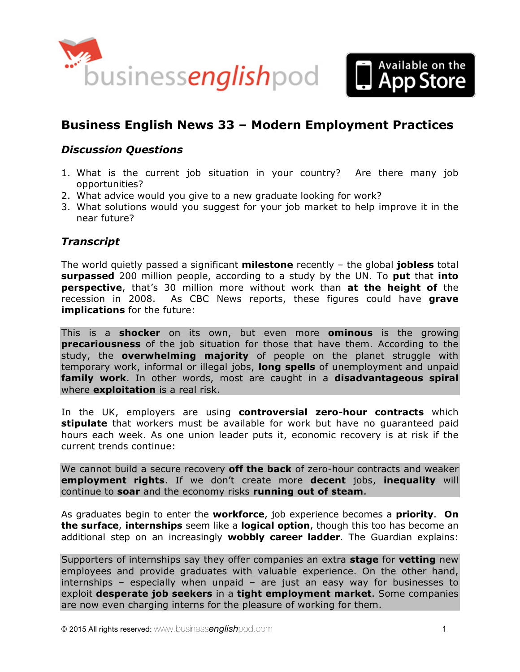



# **Business English News 33 – Modern Employment Practices**

## *Discussion Questions*

- 1. What is the current job situation in your country? Are there many job opportunities?
- 2. What advice would you give to a new graduate looking for work?
- 3. What solutions would you suggest for your job market to help improve it in the near future?

#### *Transcript*

The world quietly passed a significant **milestone** recently – the global **jobless** total **surpassed** 200 million people, according to a study by the UN. To **put** that **into perspective**, that's 30 million more without work than **at the height of** the recession in 2008. As CBC News reports, these figures could have **grave implications** for the future:

This is a **shocker** on its own, but even more **ominous** is the growing **precariousness** of the job situation for those that have them. According to the study, the **overwhelming majority** of people on the planet struggle with temporary work, informal or illegal jobs, **long spells** of unemployment and unpaid **family work**. In other words, most are caught in a **disadvantageous spiral** where **exploitation** is a real risk.

In the UK, employers are using **controversial zero-hour contracts** which **stipulate** that workers must be available for work but have no guaranteed paid hours each week. As one union leader puts it, economic recovery is at risk if the current trends continue:

We cannot build a secure recovery **off the back** of zero-hour contracts and weaker **employment rights**. If we don't create more **decent** jobs, **inequality** will continue to **soar** and the economy risks **running out of steam**.

As graduates begin to enter the **workforce**, job experience becomes a **priority**. **On the surface**, **internships** seem like a **logical option**, though this too has become an additional step on an increasingly **wobbly career ladder**. The Guardian explains:

Supporters of internships say they offer companies an extra **stage** for **vetting** new employees and provide graduates with valuable experience. On the other hand, internships – especially when unpaid – are just an easy way for businesses to exploit **desperate job seekers** in a **tight employment market**. Some companies are now even charging interns for the pleasure of working for them.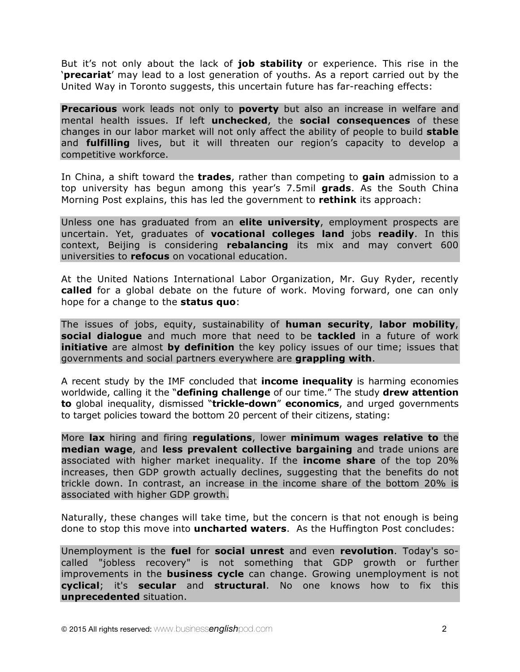But it's not only about the lack of **job stability** or experience. This rise in the '**precariat**' may lead to a lost generation of youths. As a report carried out by the United Way in Toronto suggests, this uncertain future has far-reaching effects:

**Precarious** work leads not only to **poverty** but also an increase in welfare and mental health issues. If left **unchecked**, the **social consequences** of these changes in our labor market will not only affect the ability of people to build **stable** and **fulfilling** lives, but it will threaten our region's capacity to develop a competitive workforce.

In China, a shift toward the **trades**, rather than competing to **gain** admission to a top university has begun among this year's 7.5mil **grads**. As the South China Morning Post explains, this has led the government to **rethink** its approach:

Unless one has graduated from an **elite university**, employment prospects are uncertain. Yet, graduates of **vocational colleges land** jobs **readily**. In this context, Beijing is considering **rebalancing** its mix and may convert 600 universities to **refocus** on vocational education.

At the United Nations International Labor Organization, Mr. Guy Ryder, recently **called** for a global debate on the future of work. Moving forward, one can only hope for a change to the **status quo**:

The issues of jobs, equity, sustainability of **human security**, **labor mobility**, **social dialogue** and much more that need to be **tackled** in a future of work **initiative** are almost **by definition** the key policy issues of our time; issues that governments and social partners everywhere are **grappling with**.

A recent study by the IMF concluded that **income inequality** is harming economies worldwide, calling it the "**defining challenge** of our time." The study **drew attention to** global inequality, dismissed "**trickle-down**" **economics**, and urged governments to target policies toward the bottom 20 percent of their citizens, stating:

More **lax** hiring and firing **regulations**, lower **minimum wages relative to** the **median wage**, and **less prevalent collective bargaining** and trade unions are associated with higher market inequality. If the **income share** of the top 20% increases, then GDP growth actually declines, suggesting that the benefits do not trickle down. In contrast, an increase in the income share of the bottom 20% is associated with higher GDP growth.

Naturally, these changes will take time, but the concern is that not enough is being done to stop this move into **uncharted waters**. As the Huffington Post concludes:

Unemployment is the **fuel** for **social unrest** and even **revolution**. Today's socalled "jobless recovery" is not something that GDP growth or further improvements in the **business cycle** can change. Growing unemployment is not **cyclical**; it's **secular** and **structural**. No one knows how to fix this **unprecedented** situation.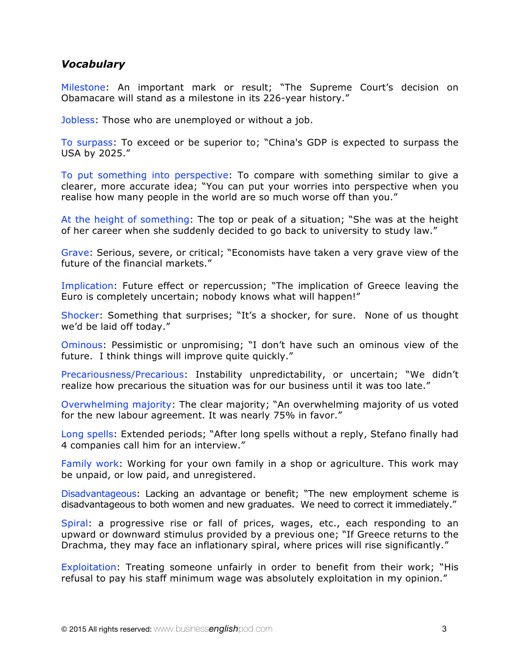#### *Vocabulary*

Milestone: An important mark or result; "The Supreme Court's decision on Obamacare will stand as a milestone in its 226-year history."

Jobless: Those who are unemployed or without a job.

To surpass: To exceed or be superior to; "China's GDP is expected to surpass the USA by 2025."

To put something into perspective: To compare with something similar to give a clearer, more accurate idea; "You can put your worries into perspective when you realise how many people in the world are so much worse off than you."

At the height of something: The top or peak of a situation; "She was at the height of her career when she suddenly decided to go back to university to study law."

Grave: Serious, severe, or critical; "Economists have taken a very grave view of the future of the financial markets."

Implication: Future effect or repercussion; "The implication of Greece leaving the Euro is completely uncertain; nobody knows what will happen!"

Shocker: Something that surprises; "It's a shocker, for sure. None of us thought we'd be laid off today."

Ominous: Pessimistic or unpromising; "I don't have such an ominous view of the future. I think things will improve quite quickly."

Precariousness/Precarious: Instability unpredictability, or uncertain; "We didn't realize how precarious the situation was for our business until it was too late."

Overwhelming majority: The clear majority; "An overwhelming majority of us voted for the new labour agreement. It was nearly 75% in favor."

Long spells: Extended periods; "After long spells without a reply, Stefano finally had 4 companies call him for an interview."

Family work: Working for your own family in a shop or agriculture. This work may be unpaid, or low paid, and unregistered.

Disadvantageous: Lacking an advantage or benefit; "The new employment scheme is disadvantageous to both women and new graduates. We need to correct it immediately."

Spiral: a progressive rise or fall of prices, wages, etc., each responding to an upward or downward stimulus provided by a previous one; "If Greece returns to the Drachma, they may face an inflationary spiral, where prices will rise significantly."

Exploitation: Treating someone unfairly in order to benefit from their work; "His refusal to pay his staff minimum wage was absolutely exploitation in my opinion."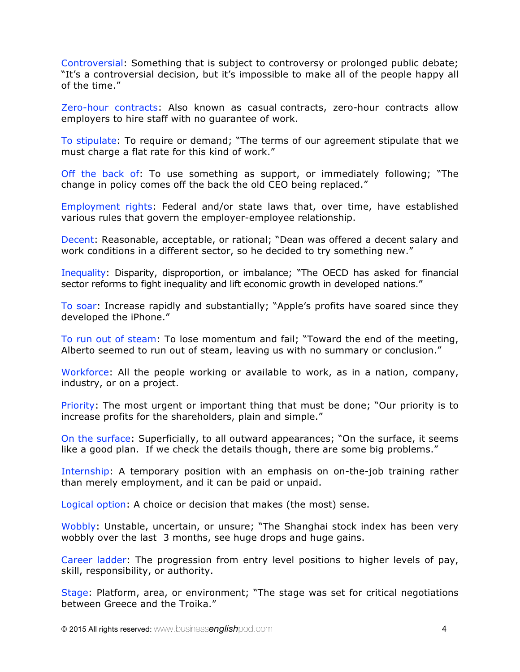Controversial: Something that is subject to controversy or prolonged public debate; "It's a controversial decision, but it's impossible to make all of the people happy all of the time."

Zero-hour contracts: Also known as casual contracts, zero-hour contracts allow employers to hire staff with no guarantee of work.

To stipulate: To require or demand; "The terms of our agreement stipulate that we must charge a flat rate for this kind of work."

Off the back of: To use something as support, or immediately following; "The change in policy comes off the back the old CEO being replaced."

Employment rights: Federal and/or state laws that, over time, have established various rules that govern the employer-employee relationship.

Decent: Reasonable, acceptable, or rational; "Dean was offered a decent salary and work conditions in a different sector, so he decided to try something new."

Inequality: Disparity, disproportion, or imbalance; "The OECD has asked for financial sector reforms to fight inequality and lift economic growth in developed nations."

To soar: Increase rapidly and substantially; "Apple's profits have soared since they developed the iPhone."

To run out of steam: To lose momentum and fail; "Toward the end of the meeting, Alberto seemed to run out of steam, leaving us with no summary or conclusion."

Workforce: All the people working or available to work, as in a nation, company, industry, or on a project.

Priority: The most urgent or important thing that must be done; "Our priority is to increase profits for the shareholders, plain and simple."

On the surface: Superficially, to all outward appearances; "On the surface, it seems like a good plan. If we check the details though, there are some big problems."

Internship: A temporary position with an emphasis on on-the-job training rather than merely employment, and it can be paid or unpaid.

Logical option: A choice or decision that makes (the most) sense.

Wobbly: Unstable, uncertain, or unsure; "The Shanghai stock index has been very wobbly over the last 3 months, see huge drops and huge gains.

Career ladder: The progression from entry level positions to higher levels of pay, skill, responsibility, or authority.

Stage: Platform, area, or environment; "The stage was set for critical negotiations between Greece and the Troika."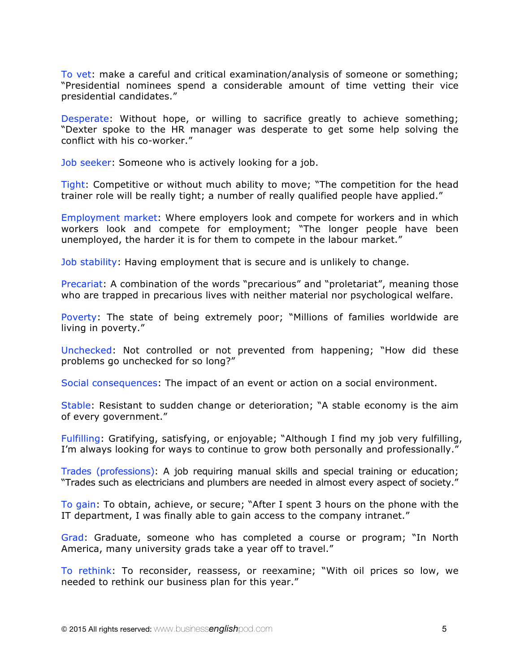To vet: make a careful and critical examination/analysis of someone or something; "Presidential nominees spend a considerable amount of time vetting their vice presidential candidates."

Desperate: Without hope, or willing to sacrifice greatly to achieve something; "Dexter spoke to the HR manager was desperate to get some help solving the conflict with his co-worker."

Job seeker: Someone who is actively looking for a job.

Tight: Competitive or without much ability to move; "The competition for the head trainer role will be really tight; a number of really qualified people have applied."

Employment market: Where employers look and compete for workers and in which workers look and compete for employment; "The longer people have been unemployed, the harder it is for them to compete in the labour market."

Job stability: Having employment that is secure and is unlikely to change.

Precariat: A combination of the words "precarious" and "proletariat", meaning those who are trapped in precarious lives with neither material nor psychological welfare.

Poverty: The state of being extremely poor; "Millions of families worldwide are living in poverty."

Unchecked: Not controlled or not prevented from happening; "How did these problems go unchecked for so long?"

Social consequences: The impact of an event or action on a social environment.

Stable: Resistant to sudden change or deterioration; "A stable economy is the aim of every government."

Fulfilling: Gratifying, satisfying, or enjoyable; "Although I find my job very fulfilling, I'm always looking for ways to continue to grow both personally and professionally."

Trades (professions): A job requiring manual skills and special training or education; "Trades such as electricians and plumbers are needed in almost every aspect of society."

To gain: To obtain, achieve, or secure; "After I spent 3 hours on the phone with the IT department, I was finally able to gain access to the company intranet."

Grad: Graduate, someone who has completed a course or program; "In North America, many university grads take a year off to travel."

To rethink: To reconsider, reassess, or reexamine; "With oil prices so low, we needed to rethink our business plan for this year."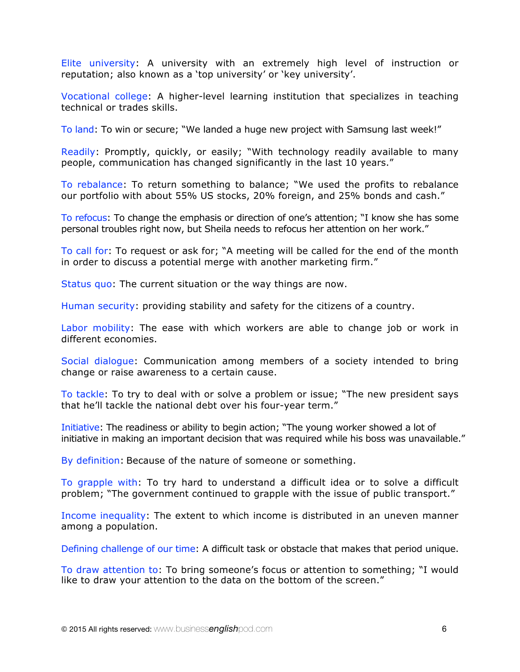Elite university: A university with an extremely high level of instruction or reputation; also known as a 'top university' or 'key university'.

Vocational college: A higher-level learning institution that specializes in teaching technical or trades skills.

To land: To win or secure; "We landed a huge new project with Samsung last week!"

Readily: Promptly, quickly, or easily; "With technology readily available to many people, communication has changed significantly in the last 10 years."

To rebalance: To return something to balance; "We used the profits to rebalance our portfolio with about 55% US stocks, 20% foreign, and 25% bonds and cash."

To refocus: To change the emphasis or direction of one's attention; "I know she has some personal troubles right now, but Sheila needs to refocus her attention on her work."

To call for: To request or ask for; "A meeting will be called for the end of the month in order to discuss a potential merge with another marketing firm."

Status quo: The current situation or the way things are now.

Human security: providing stability and safety for the citizens of a country.

Labor mobility: The ease with which workers are able to change job or work in different economies.

Social dialogue: Communication among members of a society intended to bring change or raise awareness to a certain cause.

To tackle: To try to deal with or solve a problem or issue; "The new president says that he'll tackle the national debt over his four-year term."

Initiative: The readiness or ability to begin action; "The young worker showed a lot of initiative in making an important decision that was required while his boss was unavailable."

By definition: Because of the nature of someone or something.

To grapple with: To try hard to understand a difficult idea or to solve a difficult problem; "The government continued to grapple with the issue of public transport."

Income inequality: The extent to which income is distributed in an uneven manner among a population.

Defining challenge of our time: A difficult task or obstacle that makes that period unique.

To draw attention to: To bring someone's focus or attention to something; "I would like to draw your attention to the data on the bottom of the screen."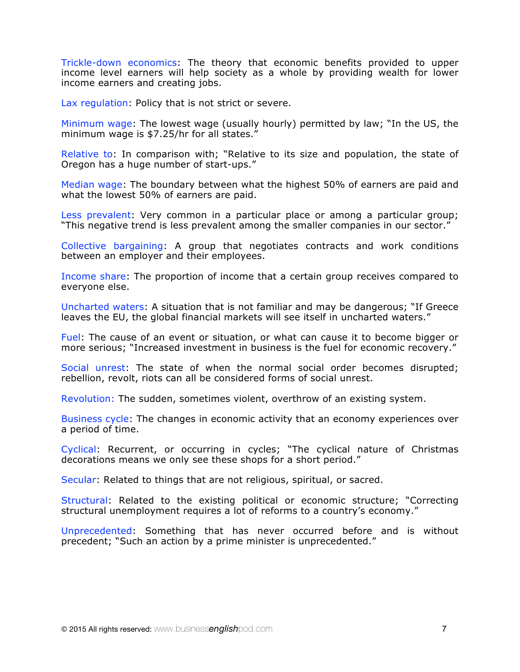Trickle-down economics: The theory that economic benefits provided to upper income level earners will help society as a whole by providing wealth for lower income earners and creating jobs.

Lax regulation: Policy that is not strict or severe.

Minimum wage: The lowest wage (usually hourly) permitted by law; "In the US, the minimum wage is \$7.25/hr for all states."

Relative to: In comparison with; "Relative to its size and population, the state of Oregon has a huge number of start-ups."

Median wage: The boundary between what the highest 50% of earners are paid and what the lowest 50% of earners are paid.

Less prevalent: Very common in a particular place or among a particular group; "This negative trend is less prevalent among the smaller companies in our sector."

Collective bargaining: A group that negotiates contracts and work conditions between an employer and their employees.

Income share: The proportion of income that a certain group receives compared to everyone else.

Uncharted waters: A situation that is not familiar and may be dangerous; "If Greece leaves the EU, the global financial markets will see itself in uncharted waters."

Fuel: The cause of an event or situation, or what can cause it to become bigger or more serious; "Increased investment in business is the fuel for economic recovery."

Social unrest: The state of when the normal social order becomes disrupted; rebellion, revolt, riots can all be considered forms of social unrest.

Revolution: The sudden, sometimes violent, overthrow of an existing system.

Business cycle: The changes in economic activity that an economy experiences over a period of time.

Cyclical: Recurrent, or occurring in cycles; "The cyclical nature of Christmas decorations means we only see these shops for a short period."

Secular: Related to things that are not religious, spiritual, or sacred.

Structural: Related to the existing political or economic structure; "Correcting structural unemployment requires a lot of reforms to a country's economy."

Unprecedented: Something that has never occurred before and is without precedent; "Such an action by a prime minister is unprecedented."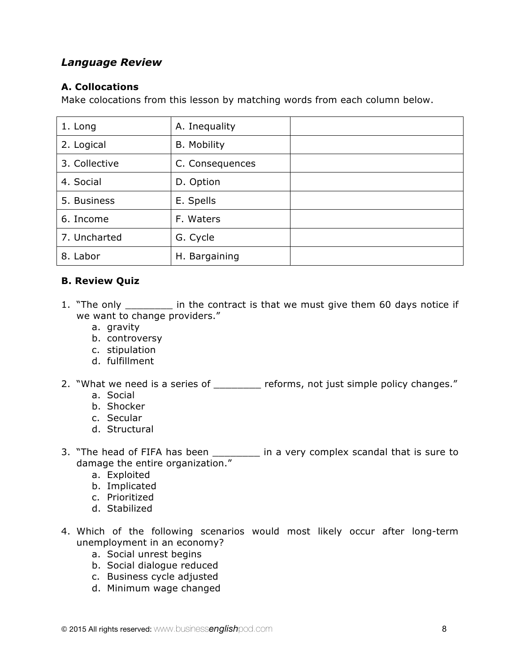## *Language Review*

#### **A. Collocations**

Make colocations from this lesson by matching words from each column below.

| 1. Long       | A. Inequality      |  |
|---------------|--------------------|--|
| 2. Logical    | <b>B.</b> Mobility |  |
| 3. Collective | C. Consequences    |  |
| 4. Social     | D. Option          |  |
| 5. Business   | E. Spells          |  |
| 6. Income     | F. Waters          |  |
| 7. Uncharted  | G. Cycle           |  |
| 8. Labor      | H. Bargaining      |  |

#### **B. Review Quiz**

- 1. "The only \_\_\_\_\_\_\_\_ in the contract is that we must give them 60 days notice if we want to change providers."
	- a. gravity
	- b. controversy
	- c. stipulation
	- d. fulfillment
- 2. "What we need is a series of \_\_\_\_\_\_\_\_ reforms, not just simple policy changes."
	- a. Social
	- b. Shocker
	- c. Secular
	- d. Structural
- 3. "The head of FIFA has been \_\_\_\_\_\_\_\_\_ in a very complex scandal that is sure to damage the entire organization."
	- a. Exploited
	- b. Implicated
	- c. Prioritized
	- d. Stabilized
- 4. Which of the following scenarios would most likely occur after long-term unemployment in an economy?
	- a. Social unrest begins
	- b. Social dialogue reduced
	- c. Business cycle adjusted
	- d. Minimum wage changed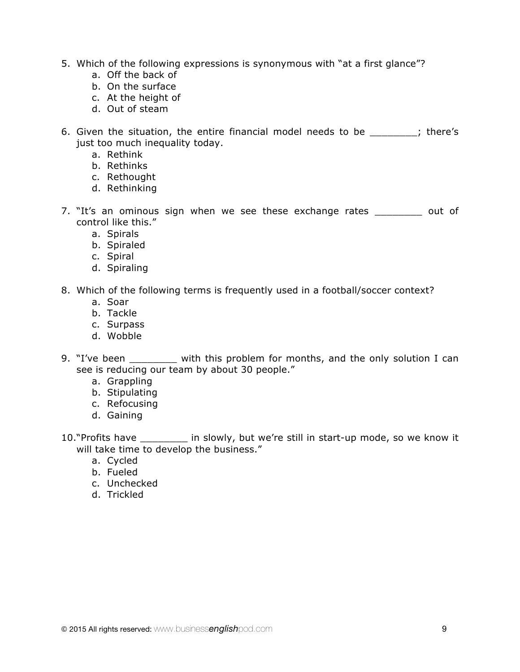- 5. Which of the following expressions is synonymous with "at a first glance"?
	- a. Off the back of
	- b. On the surface
	- c. At the height of
	- d. Out of steam
- 6. Given the situation, the entire financial model needs to be  $\hspace{1.6cm}$ ; there's just too much inequality today.
	- a. Rethink
	- b. Rethinks
	- c. Rethought
	- d. Rethinking
- 7. "It's an ominous sign when we see these exchange rates out of control like this."
	- a. Spirals
	- b. Spiraled
	- c. Spiral
	- d. Spiraling
- 8. Which of the following terms is frequently used in a football/soccer context?
	- a. Soar
	- b. Tackle
	- c. Surpass
	- d. Wobble
- 9. "I've been \_\_\_\_\_\_\_ with this problem for months, and the only solution I can see is reducing our team by about 30 people."
	- a. Grappling
	- b. Stipulating
	- c. Refocusing
	- d. Gaining
- 10."Profits have \_\_\_\_\_\_\_\_ in slowly, but we're still in start-up mode, so we know it will take time to develop the business."
	- a. Cycled
	- b. Fueled
	- c. Unchecked
	- d. Trickled